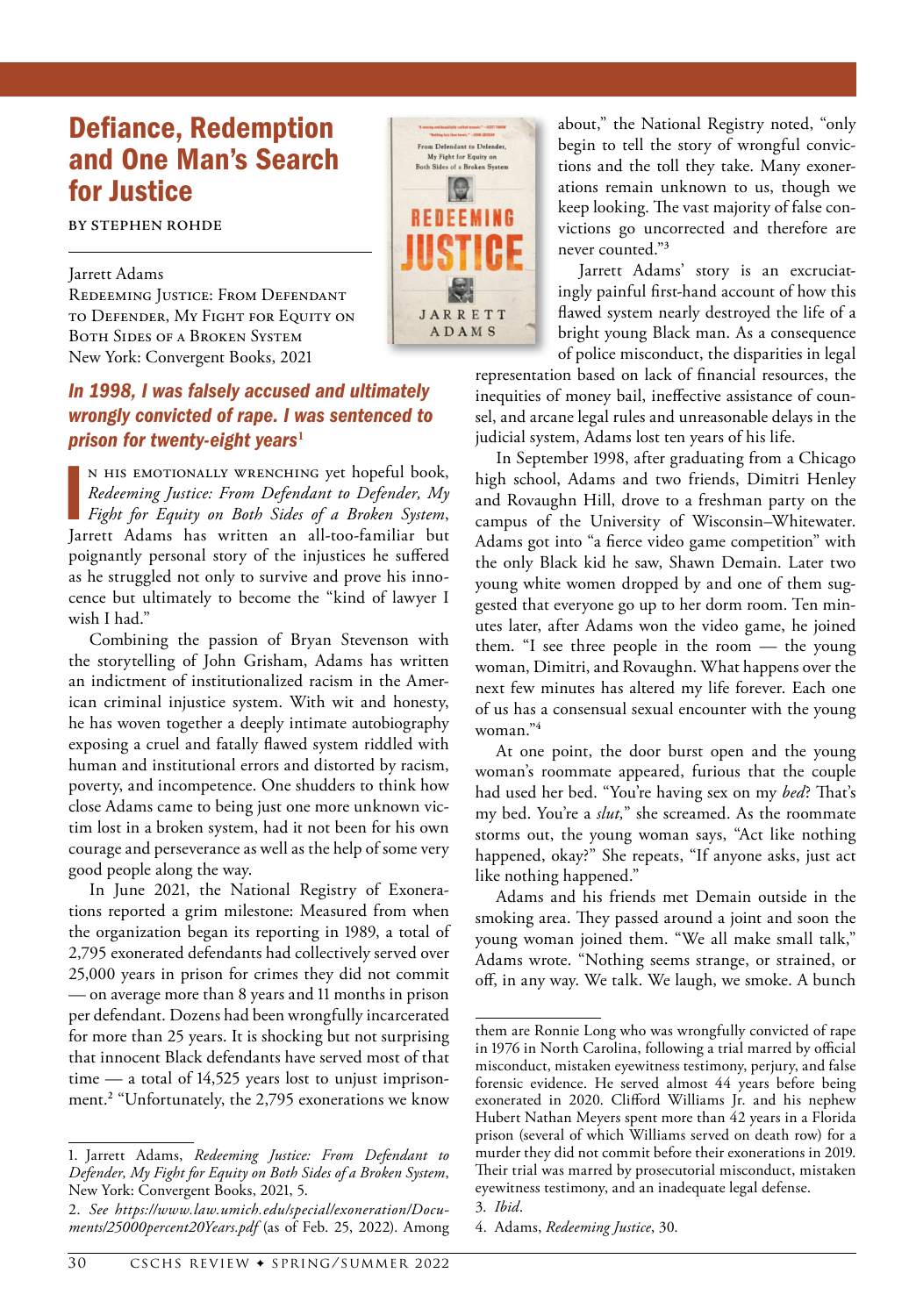## Defiance, Redemption and One Man's Search for Justice

**BY STEPHEN ROHDE**

## Jarrett Adams

REDEEMING JUSTICE: FROM DEFENDANT to Defender, My Fight for Equity on Both Sides of a Broken System New York: Convergent Books, 2021

## *In 1998, I was falsely accused and ultimately wrongly convicted of rape. I was sentenced to prison for twenty-eight years***<sup>1</sup>**

N HIS EMOTIONALLY WRENCHING yet hopeful book,<br> *Redeeming Justice: From Defendant to Defender, My*<br> *Fight for Equity on Both Sides of a Broken System*,<br>
Jarrett Adams has written an all-too-familiar but n his emotionally wrenching yet hopeful book, *Redeeming Justice: From Defendant to Defender, My Fight for Equity on Both Sides of a Broken System*, poignantly personal story of the injustices he suffered as he struggled not only to survive and prove his innocence but ultimately to become the "kind of lawyer I wish I had."

Combining the passion of Bryan Stevenson with the storytelling of John Grisham, Adams has written an indictment of institutionalized racism in the American criminal injustice system. With wit and honesty, he has woven together a deeply intimate autobiography exposing a cruel and fatally flawed system riddled with human and institutional errors and distorted by racism, poverty, and incompetence. One shudders to think how close Adams came to being just one more unknown victim lost in a broken system, had it not been for his own courage and perseverance as well as the help of some very good people along the way.

In June 2021, the National Registry of Exonerations reported a grim milestone: Measured from when the organization began its reporting in 1989, a total of 2,795 exonerated defendants had collectively served over 25,000 years in prison for crimes they did not commit — on average more than 8 years and 11 months in prison per defendant. Dozens had been wrongfully incarcerated for more than 25 years. It is shocking but not surprising that innocent Black defendants have served most of that time — a total of 14,525 years lost to unjust imprisonment.**<sup>2</sup>** "Unfortunately, the 2,795 exonerations we know



about," the National Registry noted, "only begin to tell the story of wrongful convictions and the toll they take. Many exonerations remain unknown to us, though we keep looking. The vast majority of false convictions go uncorrected and therefore are never counted."**<sup>3</sup>**

Jarrett Adams' story is an excruciatingly painful first-hand account of how this flawed system nearly destroyed the life of a bright young Black man. As a consequence of police misconduct, the disparities in legal

representation based on lack of financial resources, the inequities of money bail, ineffective assistance of counsel, and arcane legal rules and unreasonable delays in the judicial system, Adams lost ten years of his life.

In September 1998, after graduating from a Chicago high school, Adams and two friends, Dimitri Henley and Rovaughn Hill, drove to a freshman party on the campus of the University of Wisconsin–Whitewater. Adams got into "a fierce video game competition" with the only Black kid he saw, Shawn Demain. Later two young white women dropped by and one of them suggested that everyone go up to her dorm room. Ten minutes later, after Adams won the video game, he joined them. "I see three people in the room — the young woman, Dimitri, and Rovaughn. What happens over the next few minutes has altered my life forever. Each one of us has a consensual sexual encounter with the young woman."**<sup>4</sup>**

At one point, the door burst open and the young woman's roommate appeared, furious that the couple had used her bed. "You're having sex on my *bed*? That's my bed. You're a *slut,*" she screamed. As the roommate storms out, the young woman says, "Act like nothing happened, okay?" She repeats, "If anyone asks, just act like nothing happened."

Adams and his friends met Demain outside in the smoking area. They passed around a joint and soon the young woman joined them. "We all make small talk," Adams wrote. "Nothing seems strange, or strained, or off, in any way. We talk. We laugh, we smoke. A bunch

<sup>1.</sup> Jarrett Adams, *Redeeming Justice: From Defendant to Defender, My Fight for Equity on Both Sides of a Broken System*, New York: Convergent Books, 2021, 5.

<sup>2.</sup> *See [https://www.law.umich.edu/special/exoneration/Docu](https://www.law.umich.edu/special/exoneration/Documents/25000 Years.pdf)[ments/25000percent20Years.pdf](https://www.law.umich.edu/special/exoneration/Documents/25000 Years.pdf)* (as of Feb. 25, 2022). Among

them are Ronnie Long who was wrongfully convicted of rape in 1976 in North Carolina, following a trial marred by official misconduct, mistaken eyewitness testimony, perjury, and false forensic evidence. He served almost 44 years before being exonerated in 2020. Clifford Williams Jr. and his nephew Hubert Nathan Meyers spent more than 42 years in a Florida prison (several of which Williams served on death row) for a murder they did not commit before their exonerations in 2019. Their trial was marred by prosecutorial misconduct, mistaken eyewitness testimony, and an inadequate legal defense.

<sup>3.</sup> *Ibid*.

<sup>4.</sup> Adams, *Redeeming Justice*, 30.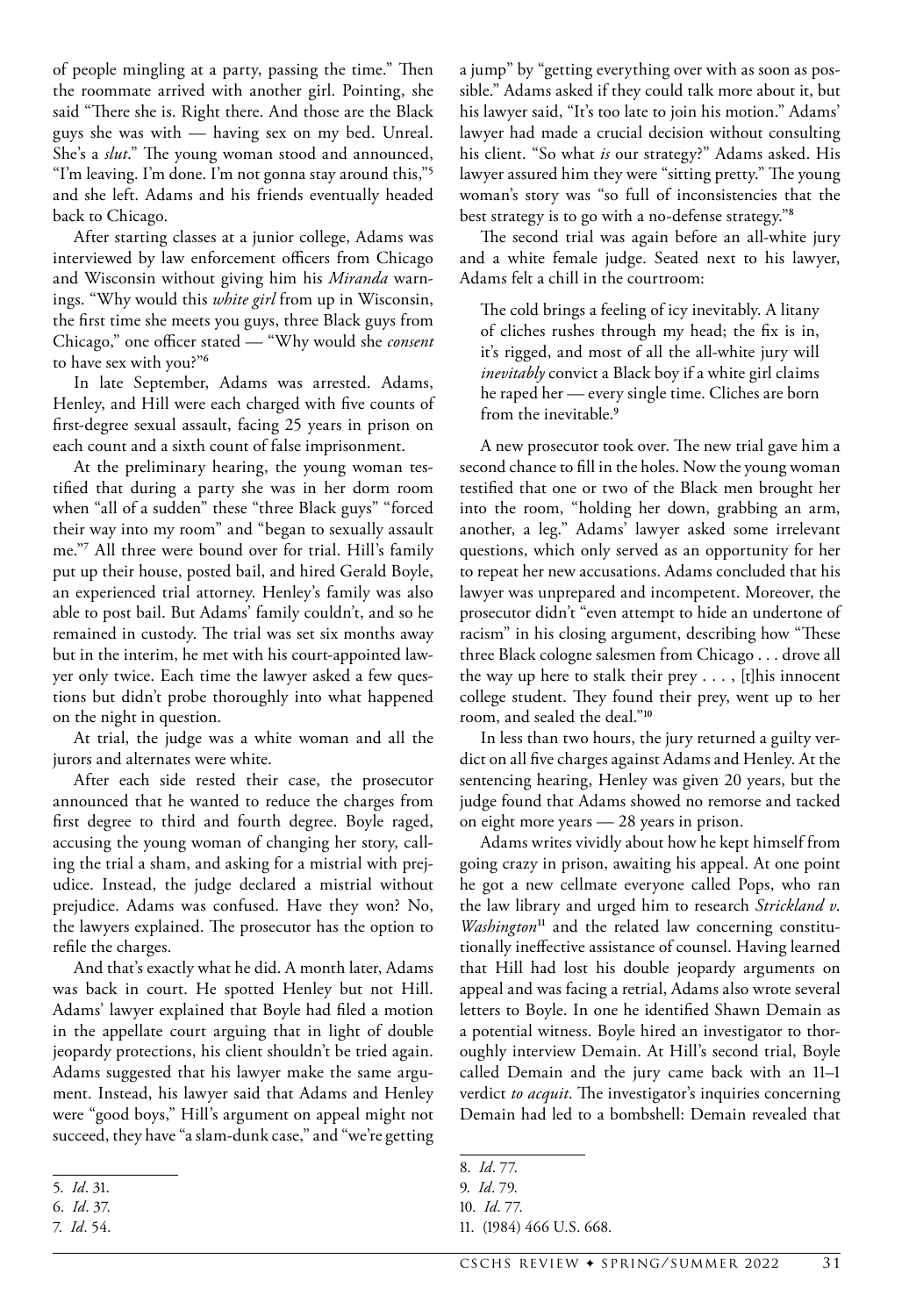of people mingling at a party, passing the time." Then the roommate arrived with another girl. Pointing, she said "There she is. Right there. And those are the Black guys she was with — having sex on my bed. Unreal. She's a *slut*." The young woman stood and announced, "I'm leaving. I'm done. I'm not gonna stay around this,"**<sup>5</sup>** and she left. Adams and his friends eventually headed back to Chicago.

After starting classes at a junior college, Adams was interviewed by law enforcement officers from Chicago and Wisconsin without giving him his *Miranda* warnings. "Why would this *white girl* from up in Wisconsin, the first time she meets you guys, three Black guys from Chicago," one officer stated — "Why would she *consent* to have sex with you?"**<sup>6</sup>**

In late September, Adams was arrested. Adams, Henley, and Hill were each charged with five counts of first-degree sexual assault, facing 25 years in prison on each count and a sixth count of false imprisonment.

At the preliminary hearing, the young woman testified that during a party she was in her dorm room when "all of a sudden" these "three Black guys" "forced their way into my room" and "began to sexually assault me."**<sup>7</sup>** All three were bound over for trial. Hill's family put up their house, posted bail, and hired Gerald Boyle, an experienced trial attorney. Henley's family was also able to post bail. But Adams' family couldn't, and so he remained in custody. The trial was set six months away but in the interim, he met with his court-appointed lawyer only twice. Each time the lawyer asked a few questions but didn't probe thoroughly into what happened on the night in question.

At trial, the judge was a white woman and all the jurors and alternates were white.

After each side rested their case, the prosecutor announced that he wanted to reduce the charges from first degree to third and fourth degree. Boyle raged, accusing the young woman of changing her story, calling the trial a sham, and asking for a mistrial with prejudice. Instead, the judge declared a mistrial without prejudice. Adams was confused. Have they won? No, the lawyers explained. The prosecutor has the option to refile the charges.

And that's exactly what he did. A month later, Adams was back in court. He spotted Henley but not Hill. Adams' lawyer explained that Boyle had filed a motion in the appellate court arguing that in light of double jeopardy protections, his client shouldn't be tried again. Adams suggested that his lawyer make the same argument. Instead, his lawyer said that Adams and Henley were "good boys," Hill's argument on appeal might not succeed, they have "a slam-dunk case," and "we're getting

7. *Id*. 54.

a jump" by "getting everything over with as soon as possible." Adams asked if they could talk more about it, but his lawyer said, "It's too late to join his motion." Adams' lawyer had made a crucial decision without consulting his client. "So what *is* our strategy?" Adams asked. His lawyer assured him they were "sitting pretty." The young woman's story was "so full of inconsistencies that the best strategy is to go with a no-defense strategy."**<sup>8</sup>**

The second trial was again before an all-white jury and a white female judge. Seated next to his lawyer, Adams felt a chill in the courtroom:

The cold brings a feeling of icy inevitably. A litany of cliches rushes through my head; the fix is in, it's rigged, and most of all the all-white jury will *inevitably* convict a Black boy if a white girl claims he raped her — every single time. Cliches are born from the inevitable.**<sup>9</sup>**

A new prosecutor took over. The new trial gave him a second chance to fill in the holes. Now the young woman testified that one or two of the Black men brought her into the room, "holding her down, grabbing an arm, another, a leg." Adams' lawyer asked some irrelevant questions, which only served as an opportunity for her to repeat her new accusations. Adams concluded that his lawyer was unprepared and incompetent. Moreover, the prosecutor didn't "even attempt to hide an undertone of racism" in his closing argument, describing how "These three Black cologne salesmen from Chicago . . . drove all the way up here to stalk their prey . . . , [t]his innocent college student. They found their prey, went up to her room, and sealed the deal."**<sup>10</sup>**

In less than two hours, the jury returned a guilty verdict on all five charges against Adams and Henley. At the sentencing hearing, Henley was given 20 years, but the judge found that Adams showed no remorse and tacked on eight more years — 28 years in prison.

Adams writes vividly about how he kept himself from going crazy in prison, awaiting his appeal. At one point he got a new cellmate everyone called Pops, who ran the law library and urged him to research *Strickland v*. *Washington***11** and the related law concerning constitutionally ineffective assistance of counsel. Having learned that Hill had lost his double jeopardy arguments on appeal and was facing a retrial, Adams also wrote several letters to Boyle. In one he identified Shawn Demain as a potential witness. Boyle hired an investigator to thoroughly interview Demain. At Hill's second trial, Boyle called Demain and the jury came back with an 11–1 verdict *to acquit*. The investigator's inquiries concerning Demain had led to a bombshell: Demain revealed that

<sup>5.</sup> *Id*. 31.

<sup>6.</sup> *Id*. 37.

<sup>8.</sup> *Id*. 77.

<sup>9.</sup> *Id*. 79.

<sup>10.</sup> *Id*. 77.

<sup>11.</sup> (1984) 466 U.S. 668.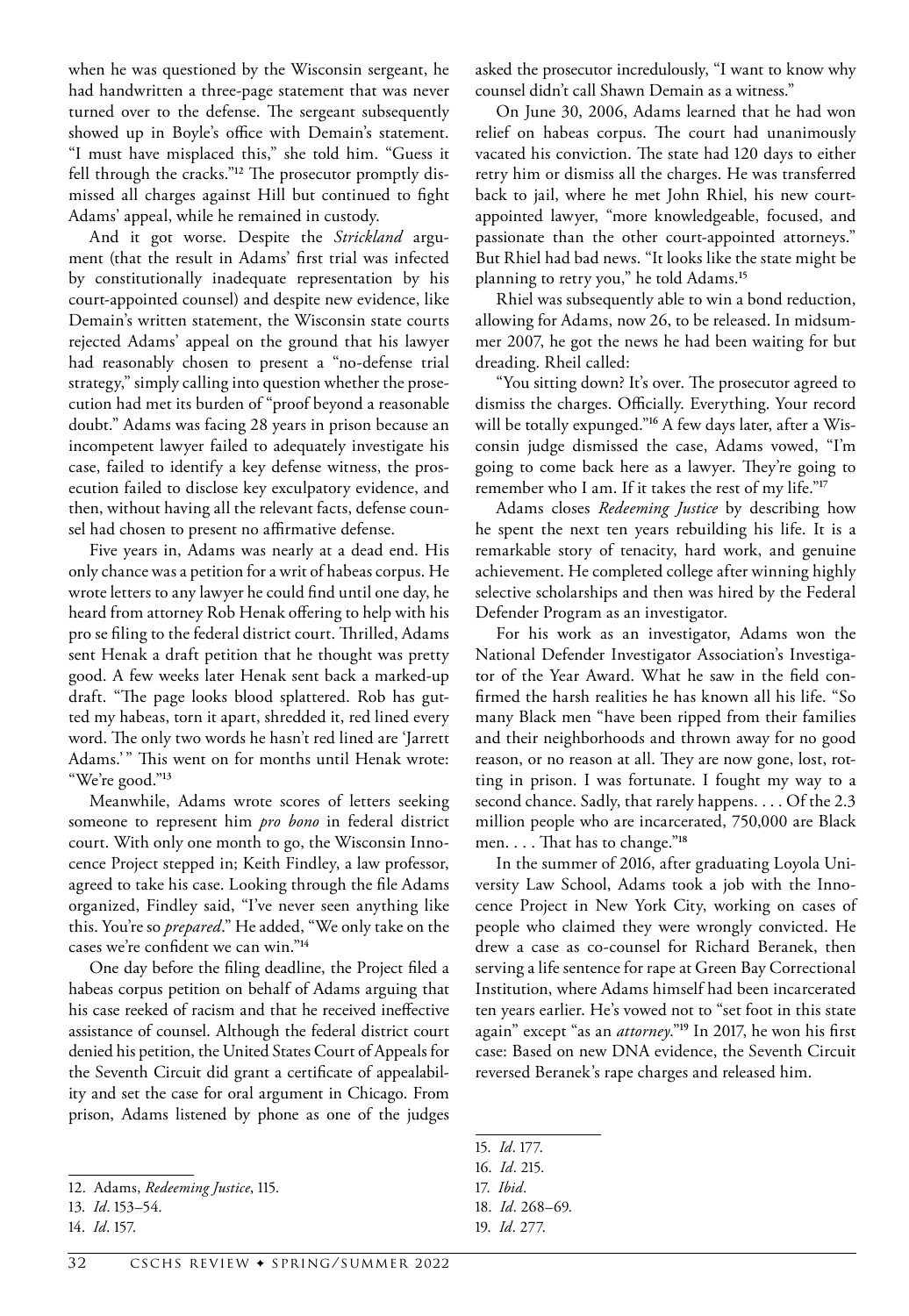when he was questioned by the Wisconsin sergeant, he had handwritten a three-page statement that was never turned over to the defense. The sergeant subsequently showed up in Boyle's office with Demain's statement. "I must have misplaced this," she told him. "Guess it fell through the cracks."**12** The prosecutor promptly dismissed all charges against Hill but continued to fight Adams' appeal, while he remained in custody.

And it got worse. Despite the *Strickland* argument (that the result in Adams' first trial was infected by constitutionally inadequate representation by his court-appointed counsel) and despite new evidence, like Demain's written statement, the Wisconsin state courts rejected Adams' appeal on the ground that his lawyer had reasonably chosen to present a "no-defense trial strategy," simply calling into question whether the prosecution had met its burden of "proof beyond a reasonable doubt." Adams was facing 28 years in prison because an incompetent lawyer failed to adequately investigate his case, failed to identify a key defense witness, the prosecution failed to disclose key exculpatory evidence, and then, without having all the relevant facts, defense counsel had chosen to present no affirmative defense.

Five years in, Adams was nearly at a dead end. His only chance was a petition for a writ of habeas corpus. He wrote letters to any lawyer he could find until one day, he heard from attorney Rob Henak offering to help with his pro se filing to the federal district court. Thrilled, Adams sent Henak a draft petition that he thought was pretty good. A few weeks later Henak sent back a marked-up draft. "The page looks blood splattered. Rob has gutted my habeas, torn it apart, shredded it, red lined every word. The only two words he hasn't red lined are 'Jarrett Adams.'" This went on for months until Henak wrote: "We're good."**<sup>13</sup>**

Meanwhile, Adams wrote scores of letters seeking someone to represent him *pro bono* in federal district court. With only one month to go, the Wisconsin Innocence Project stepped in; Keith Findley, a law professor, agreed to take his case. Looking through the file Adams organized, Findley said, "I've never seen anything like this. You're so *prepared*." He added, "We only take on the cases we're confident we can win."**<sup>14</sup>**

One day before the filing deadline, the Project filed a habeas corpus petition on behalf of Adams arguing that his case reeked of racism and that he received ineffective assistance of counsel. Although the federal district court denied his petition, the United States Court of Appeals for the Seventh Circuit did grant a certificate of appealability and set the case for oral argument in Chicago. From prison, Adams listened by phone as one of the judges asked the prosecutor incredulously, "I want to know why counsel didn't call Shawn Demain as a witness."

On June 30, 2006, Adams learned that he had won relief on habeas corpus. The court had unanimously vacated his conviction. The state had 120 days to either retry him or dismiss all the charges. He was transferred back to jail, where he met John Rhiel, his new courtappointed lawyer, "more knowledgeable, focused, and passionate than the other court-appointed attorneys." But Rhiel had bad news. "It looks like the state might be planning to retry you," he told Adams.**<sup>15</sup>**

Rhiel was subsequently able to win a bond reduction, allowing for Adams, now 26, to be released. In midsummer 2007, he got the news he had been waiting for but dreading. Rheil called:

"You sitting down? It's over. The prosecutor agreed to dismiss the charges. Officially. Everything. Your record will be totally expunged."**16** A few days later, after a Wisconsin judge dismissed the case, Adams vowed, "I'm going to come back here as a lawyer. They're going to remember who I am. If it takes the rest of my life."**<sup>17</sup>**

Adams closes *Redeeming Justice* by describing how he spent the next ten years rebuilding his life. It is a remarkable story of tenacity, hard work, and genuine achievement. He completed college after winning highly selective scholarships and then was hired by the Federal Defender Program as an investigator.

For his work as an investigator, Adams won the National Defender Investigator Association's Investigator of the Year Award. What he saw in the field confirmed the harsh realities he has known all his life. "So many Black men "have been ripped from their families and their neighborhoods and thrown away for no good reason, or no reason at all. They are now gone, lost, rotting in prison. I was fortunate. I fought my way to a second chance. Sadly, that rarely happens. . . . Of the 2.3 million people who are incarcerated, 750,000 are Black men. . . . That has to change."**<sup>18</sup>**

In the summer of 2016, after graduating Loyola University Law School, Adams took a job with the Innocence Project in New York City, working on cases of people who claimed they were wrongly convicted. He drew a case as co-counsel for Richard Beranek, then serving a life sentence for rape at Green Bay Correctional Institution, where Adams himself had been incarcerated ten years earlier. He's vowed not to "set foot in this state again" except "as an *attorney*."**<sup>19</sup>** In 2017, he won his first case: Based on new DNA evidence, the Seventh Circuit reversed Beranek's rape charges and released him.

15. *Id*. 177.

<sup>12.</sup> Adams, *Redeeming Justice*, 115.

<sup>13.</sup> *Id*. 153–54.

<sup>14.</sup> *Id*. 157.

<sup>16.</sup> *Id*. 215.

<sup>17.</sup> *Ibid*.

<sup>18.</sup> *Id*. 268–69.

<sup>19.</sup> *Id*. 277.